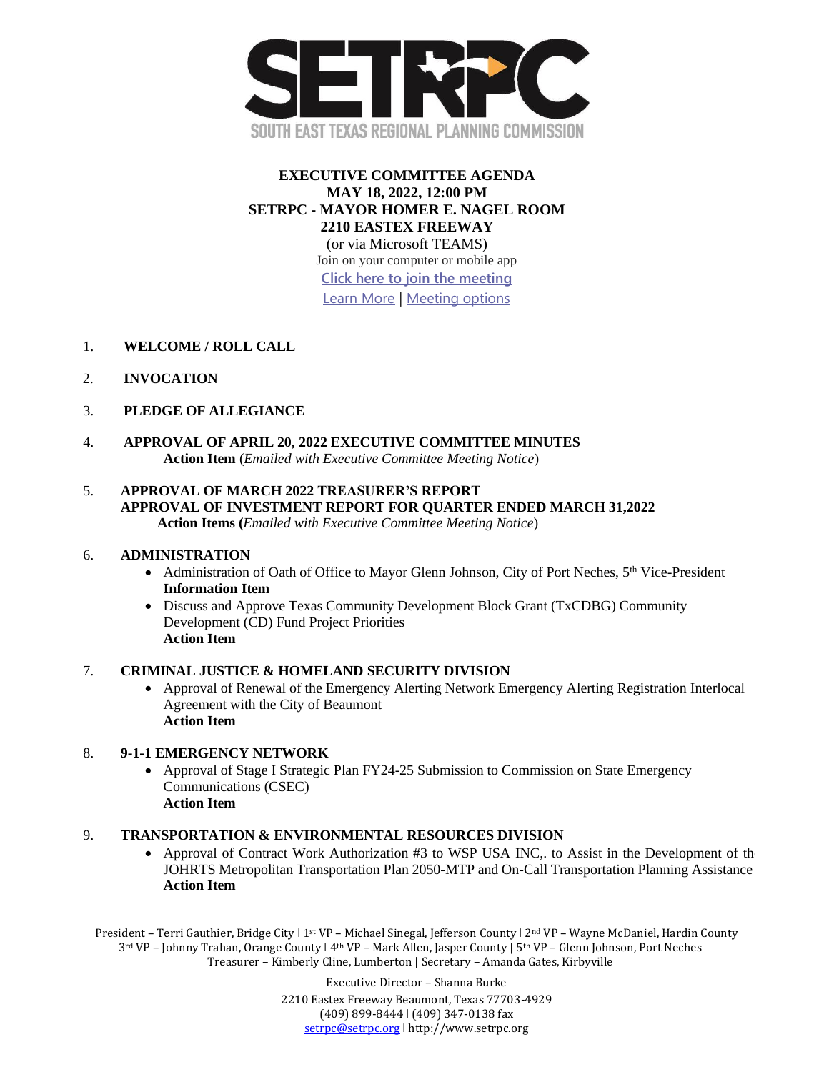

## **EXECUTIVE COMMITTEE AGENDA MAY 18, 2022, 12:00 PM SETRPC - MAYOR HOMER E. NAGEL ROOM 2210 EASTEX FREEWAY**

(or via Microsoft TEAMS) Join on your computer or mobile app **[Click here to join the meeting](https://teams.microsoft.com/l/meetup-join/19%3ameeting_Yjk0YmRkMjktM2Q3Yi00NDFkLThhY2YtYThjNDNhZTBmNmMw%40thread.v2/0?context=%7b%22Tid%22%3a%22d7dd83f1-8174-4f9e-8163-eb9cdf1d0d5a%22%2c%22Oid%22%3a%22362146ba-96d0-4262-9716-49eca109c58f%22%7d)** [Learn More](https://aka.ms/JoinTeamsMeeting) | [Meeting options](https://teams.microsoft.com/meetingOptions/?organizerId=362146ba-96d0-4262-9716-49eca109c58f&tenantId=d7dd83f1-8174-4f9e-8163-eb9cdf1d0d5a&threadId=19_meeting_Yjk0YmRkMjktM2Q3Yi00NDFkLThhY2YtYThjNDNhZTBmNmMw@thread.v2&messageId=0&language=en-US)

- 1. **WELCOME / ROLL CALL**
- 2. **INVOCATION**
- 3. **PLEDGE OF ALLEGIANCE**
- 4. **APPROVAL OF APRIL 20, 2022 EXECUTIVE COMMITTEE MINUTES Action Item** (*Emailed with Executive Committee Meeting Notice*)
- 5. **APPROVAL OF MARCH 2022 TREASURER'S REPORT APPROVAL OF INVESTMENT REPORT FOR QUARTER ENDED MARCH 31,2022 Action Items (***Emailed with Executive Committee Meeting Notice*)

#### 6. **ADMINISTRATION**

- Administration of Oath of Office to Mayor Glenn Johnson, City of Port Neches, 5<sup>th</sup> Vice-President **Information Item**
- Discuss and Approve Texas Community Development Block Grant (TxCDBG) Community Development (CD) Fund Project Priorities **Action Item**

#### 7. **CRIMINAL JUSTICE & HOMELAND SECURITY DIVISION**

• Approval of Renewal of the Emergency Alerting Network Emergency Alerting Registration Interlocal Agreement with the City of Beaumont **Action Item** 

#### 8. **9-1-1 EMERGENCY NETWORK**

• Approval of Stage I Strategic Plan FY24-25 Submission to Commission on State Emergency Communications (CSEC) **Action Item** 

#### 9. **TRANSPORTATION & ENVIRONMENTAL RESOURCES DIVISION**

• Approval of Contract Work Authorization #3 to WSP USA INC, to Assist in the Development of the JOHRTS Metropolitan Transportation Plan 2050-MTP and On-Call Transportation Planning Assistance - **Action Item** 

President – Terri Gauthier, Bridge City | 1<sup>st</sup> VP – Michael Sinegal, Jefferson County | 2<sup>nd</sup> VP – Wayne McDaniel, Hardin County 3rd VP – Johnny Trahan, Orange County ǀ 4th VP – Mark Allen, Jasper County | 5th VP – Glenn Johnson, Port Neches Treasurer – Kimberly Cline, Lumberton | Secretary – Amanda Gates, Kirbyville

> Executive Director – Shanna Burke 2210 Eastex Freeway Beaumont, Texas 77703-4929 (409) 899-8444 ǀ (409) 347-0138 fax [setrpc@setrpc.org](mailto:setrpc@setrpc.org) | http://www.setrpc.org